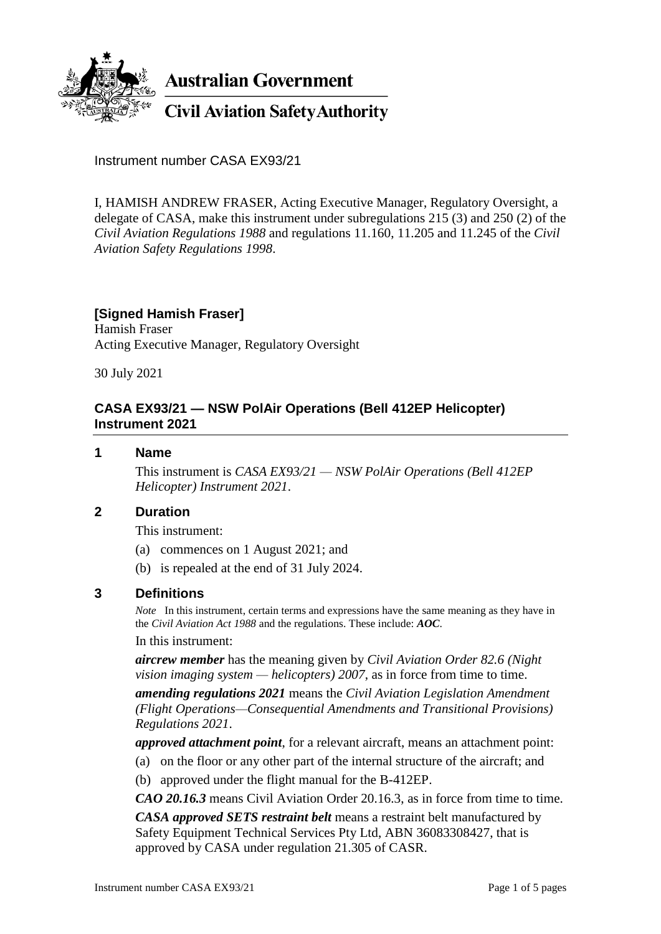

**Australian Government** 

**Civil Aviation Safety Authority** 

Instrument number CASA EX93/21

I, HAMISH ANDREW FRASER, Acting Executive Manager, Regulatory Oversight, a delegate of CASA, make this instrument under subregulations 215 (3) and 250 (2) of the *Civil Aviation Regulations 1988* and regulations 11.160, 11.205 and 11.245 of the *Civil Aviation Safety Regulations 1998*.

# **[Signed Hamish Fraser]**

Hamish Fraser Acting Executive Manager, Regulatory Oversight

30 July 2021

# **CASA EX93/21 — NSW PolAir Operations (Bell 412EP Helicopter) Instrument 2021**

### **1 Name**

This instrument is *CASA EX93/21 — NSW PolAir Operations (Bell 412EP Helicopter) Instrument 2021*.

## **2 Duration**

This instrument:

- (a) commences on 1 August 2021; and
- (b) is repealed at the end of 31 July 2024.

## **3 Definitions**

*Note* In this instrument, certain terms and expressions have the same meaning as they have in the *Civil Aviation Act 1988* and the regulations. These include: *AOC*.

#### In this instrument:

*aircrew member* has the meaning given by *Civil Aviation Order 82.6 (Night vision imaging system — helicopters) 2007*, as in force from time to time.

*amending regulations 2021* means the *Civil Aviation Legislation Amendment (Flight Operations—Consequential Amendments and Transitional Provisions) Regulations 2021*.

*approved attachment point*, for a relevant aircraft, means an attachment point:

- (a) on the floor or any other part of the internal structure of the aircraft; and
- (b) approved under the flight manual for the B-412EP.

*CAO 20.16.3* means Civil Aviation Order 20.16.3, as in force from time to time.

*CASA approved SETS restraint belt* means a restraint belt manufactured by Safety Equipment Technical Services Pty Ltd, ABN 36083308427, that is approved by CASA under regulation 21.305 of CASR.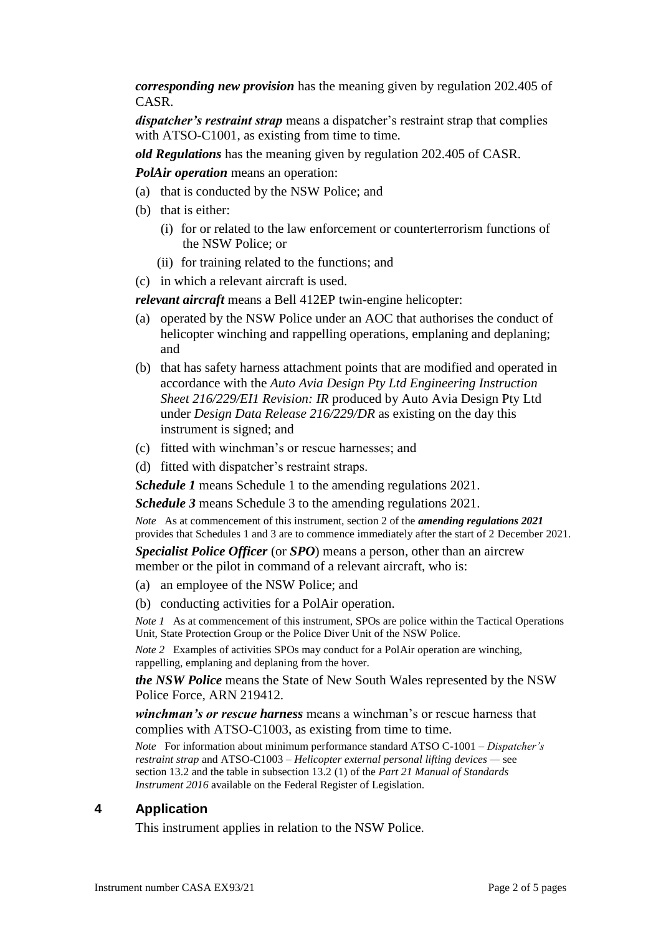*corresponding new provision* has the meaning given by regulation 202.405 of CASR.

*dispatcher's restraint strap* means a dispatcher's restraint strap that complies with ATSO-C1001, as existing from time to time.

*old Regulations* has the meaning given by regulation 202.405 of CASR.

*PolAir operation* means an operation:

- (a) that is conducted by the NSW Police; and
- (b) that is either:
	- (i) for or related to the law enforcement or counterterrorism functions of the NSW Police; or
	- (ii) for training related to the functions; and
- (c) in which a relevant aircraft is used.

*relevant aircraft* means a Bell 412EP twin-engine helicopter:

- (a) operated by the NSW Police under an AOC that authorises the conduct of helicopter winching and rappelling operations, emplaning and deplaning; and
- (b) that has safety harness attachment points that are modified and operated in accordance with the *Auto Avia Design Pty Ltd Engineering Instruction Sheet 216/229/EI1 Revision: IR* produced by Auto Avia Design Pty Ltd under *Design Data Release 216/229/DR* as existing on the day this instrument is signed; and
- (c) fitted with winchman's or rescue harnesses; and
- (d) fitted with dispatcher's restraint straps.

*Schedule 1* means Schedule 1 to the amending regulations 2021.

*Schedule 3* means Schedule 3 to the amending regulations 2021.

*Note* As at commencement of this instrument, section 2 of the *amending regulations 2021* provides that Schedules 1 and 3 are to commence immediately after the start of 2 December 2021.

*Specialist Police Officer* (or *SPO*) means a person, other than an aircrew member or the pilot in command of a relevant aircraft, who is:

- (a) an employee of the NSW Police; and
- (b) conducting activities for a PolAir operation.

*Note 1* As at commencement of this instrument, SPOs are police within the Tactical Operations Unit, State Protection Group or the Police Diver Unit of the NSW Police.

*Note 2* Examples of activities SPOs may conduct for a PolAir operation are winching, rappelling, emplaning and deplaning from the hover.

*the NSW Police* means the State of New South Wales represented by the NSW Police Force, ARN 219412.

*winchman's or rescue harness* means a winchman's or rescue harness that complies with ATSO-C1003, as existing from time to time.

*Note* For information about minimum performance standard ATSO C-1001 – *Dispatcher's restraint strap* and ATSO-C1003 – *Helicopter external personal lifting devices —* see section 13.2 and the table in subsection 13.2 (1) of the *Part 21 Manual of Standards Instrument 2016* available on the Federal Register of Legislation.

## **4 Application**

This instrument applies in relation to the NSW Police.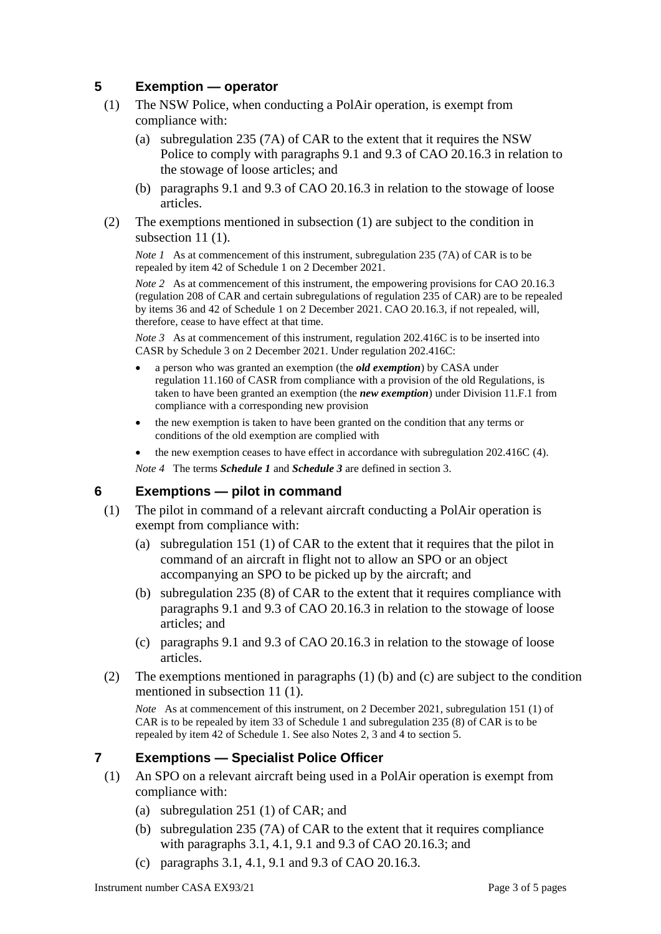# **5 Exemption — operator**

- (1) The NSW Police, when conducting a PolAir operation, is exempt from compliance with:
	- (a) subregulation 235 (7A) of CAR to the extent that it requires the NSW Police to comply with paragraphs 9.1 and 9.3 of CAO 20.16.3 in relation to the stowage of loose articles; and
	- (b) paragraphs 9.1 and 9.3 of CAO 20.16.3 in relation to the stowage of loose articles.
- (2) The exemptions mentioned in subsection (1) are subject to the condition in subsection 11 (1).

*Note 1* As at commencement of this instrument, subregulation 235 (7A) of CAR is to be repealed by item 42 of Schedule 1 on 2 December 2021.

*Note 2* As at commencement of this instrument, the empowering provisions for CAO 20.16.3 (regulation 208 of CAR and certain subregulations of regulation 235 of CAR) are to be repealed by items 36 and 42 of Schedule 1 on 2 December 2021. CAO 20.16.3, if not repealed, will, therefore, cease to have effect at that time.

*Note 3* As at commencement of this instrument, regulation 202.416C is to be inserted into CASR by Schedule 3 on 2 December 2021. Under regulation 202.416C:

- a person who was granted an exemption (the *old exemption*) by CASA under regulation 11.160 of CASR from compliance with a provision of the old Regulations, is taken to have been granted an exemption (the *new exemption*) under Division 11.F.1 from compliance with a corresponding new provision
- the new exemption is taken to have been granted on the condition that any terms or conditions of the old exemption are complied with
- the new exemption ceases to have effect in accordance with subregulation 202.416C (4).

*Note 4* The terms *Schedule 1* and *Schedule 3* are defined in section 3.

## **6 Exemptions — pilot in command**

- (1) The pilot in command of a relevant aircraft conducting a PolAir operation is exempt from compliance with:
	- (a) subregulation 151 (1) of CAR to the extent that it requires that the pilot in command of an aircraft in flight not to allow an SPO or an object accompanying an SPO to be picked up by the aircraft; and
	- (b) subregulation 235 (8) of CAR to the extent that it requires compliance with paragraphs 9.1 and 9.3 of CAO 20.16.3 in relation to the stowage of loose articles; and
	- (c) paragraphs 9.1 and 9.3 of CAO 20.16.3 in relation to the stowage of loose articles.
- (2) The exemptions mentioned in paragraphs (1) (b) and (c) are subject to the condition mentioned in subsection 11 (1).

*Note* As at commencement of this instrument, on 2 December 2021, subregulation 151 (1) of CAR is to be repealed by item 33 of Schedule 1 and subregulation 235 (8) of CAR is to be repealed by item 42 of Schedule 1. See also Notes 2, 3 and 4 to section 5.

## **7 Exemptions — Specialist Police Officer**

- (1) An SPO on a relevant aircraft being used in a PolAir operation is exempt from compliance with:
	- (a) subregulation 251 (1) of CAR; and
	- (b) subregulation 235 (7A) of CAR to the extent that it requires compliance with paragraphs 3.1, 4.1, 9.1 and 9.3 of CAO 20.16.3; and
	- (c) paragraphs 3.1, 4.1, 9.1 and 9.3 of CAO 20.16.3.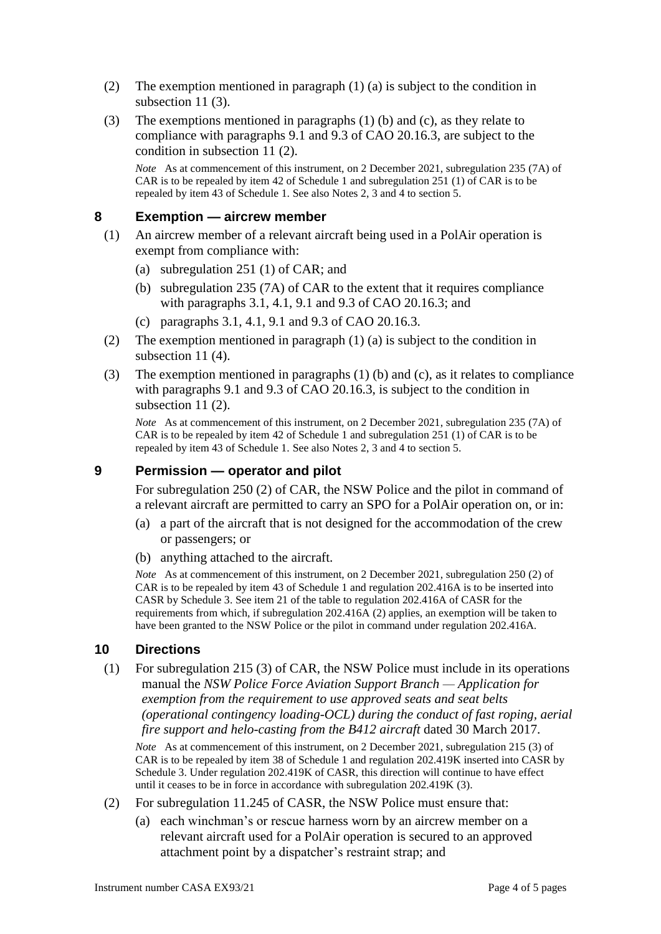- (2) The exemption mentioned in paragraph (1) (a) is subject to the condition in subsection 11(3).
- (3) The exemptions mentioned in paragraphs (1) (b) and (c), as they relate to compliance with paragraphs 9.1 and 9.3 of CAO 20.16.3, are subject to the condition in subsection 11 (2).

*Note* As at commencement of this instrument, on 2 December 2021, subregulation 235 (7A) of CAR is to be repealed by item 42 of Schedule 1 and subregulation 251 (1) of CAR is to be repealed by item 43 of Schedule 1. See also Notes 2, 3 and 4 to section 5.

### **8 Exemption — aircrew member**

- (1) An aircrew member of a relevant aircraft being used in a PolAir operation is exempt from compliance with:
	- (a) subregulation 251 (1) of CAR; and
	- (b) subregulation 235 (7A) of CAR to the extent that it requires compliance with paragraphs 3.1, 4.1, 9.1 and 9.3 of CAO 20.16.3; and
	- (c) paragraphs 3.1, 4.1, 9.1 and 9.3 of CAO 20.16.3.
- (2) The exemption mentioned in paragraph (1) (a) is subject to the condition in subsection 11 (4).
- (3) The exemption mentioned in paragraphs (1) (b) and (c), as it relates to compliance with paragraphs 9.1 and 9.3 of CAO 20.16.3, is subject to the condition in subsection 11 (2).

*Note* As at commencement of this instrument, on 2 December 2021, subregulation 235 (7A) of CAR is to be repealed by item 42 of Schedule 1 and subregulation 251 (1) of CAR is to be repealed by item 43 of Schedule 1. See also Notes 2, 3 and 4 to section 5.

## **9 Permission — operator and pilot**

For subregulation 250 (2) of CAR, the NSW Police and the pilot in command of a relevant aircraft are permitted to carry an SPO for a PolAir operation on, or in:

- (a) a part of the aircraft that is not designed for the accommodation of the crew or passengers; or
- (b) anything attached to the aircraft.

*Note* As at commencement of this instrument, on 2 December 2021, subregulation 250 (2) of CAR is to be repealed by item 43 of Schedule 1 and regulation 202.416A is to be inserted into CASR by Schedule 3. See item 21 of the table to regulation 202.416A of CASR for the requirements from which, if subregulation 202.416A (2) applies, an exemption will be taken to have been granted to the NSW Police or the pilot in command under regulation 202.416A.

## **10 Directions**

(1) For subregulation 215 (3) of CAR, the NSW Police must include in its operations manual the *NSW Police Force Aviation Support Branch — Application for exemption from the requirement to use approved seats and seat belts (operational contingency loading-OCL) during the conduct of fast roping, aerial fire support and helo-casting from the B412 aircraft* dated 30 March 2017.

*Note* As at commencement of this instrument, on 2 December 2021, subregulation 215 (3) of CAR is to be repealed by item 38 of Schedule 1 and regulation 202.419K inserted into CASR by Schedule 3. Under regulation 202.419K of CASR, this direction will continue to have effect until it ceases to be in force in accordance with subregulation 202.419K (3).

- (2) For subregulation 11.245 of CASR, the NSW Police must ensure that:
	- (a) each winchman's or rescue harness worn by an aircrew member on a relevant aircraft used for a PolAir operation is secured to an approved attachment point by a dispatcher's restraint strap; and